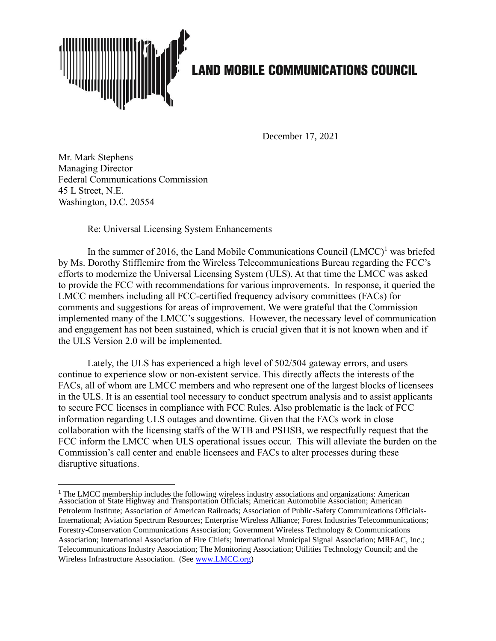

December 17, 2021

Mr. Mark Stephens Managing Director Federal Communications Commission 45 L Street, N.E. Washington, D.C. 20554

Re: Universal Licensing System Enhancements

In the summer of 2016, the Land Mobile Communications Council  $(LMCC)^1$  was briefed by Ms. Dorothy Stifflemire from the Wireless Telecommunications Bureau regarding the FCC's efforts to modernize the Universal Licensing System (ULS). At that time the LMCC was asked to provide the FCC with recommendations for various improvements. In response, it queried the LMCC members including all FCC-certified frequency advisory committees (FACs) for comments and suggestions for areas of improvement. We were grateful that the Commission implemented many of the LMCC's suggestions. However, the necessary level of communication and engagement has not been sustained, which is crucial given that it is not known when and if the ULS Version 2.0 will be implemented.

Lately, the ULS has experienced a high level of 502/504 gateway errors, and users continue to experience slow or non-existent service. This directly affects the interests of the FACs, all of whom are LMCC members and who represent one of the largest blocks of licensees in the ULS. It is an essential tool necessary to conduct spectrum analysis and to assist applicants to secure FCC licenses in compliance with FCC Rules. Also problematic is the lack of FCC information regarding ULS outages and downtime. Given that the FACs work in close collaboration with the licensing staffs of the WTB and PSHSB, we respectfully request that the FCC inform the LMCC when ULS operational issues occur. This will alleviate the burden on the Commission's call center and enable licensees and FACs to alter processes during these disruptive situations.

<sup>&</sup>lt;sup>1</sup> The LMCC membership includes the following wireless industry associations and organizations: American Association of State Highway and Transportation Officials; American Automobile Association; American Petroleum Institute; Association of American Railroads; Association of Public-Safety Communications Officials-International; Aviation Spectrum Resources; Enterprise Wireless Alliance; Forest Industries Telecommunications; Forestry-Conservation Communications Association; Government Wireless Technology & Communications Association; International Association of Fire Chiefs; International Municipal Signal Association; MRFAC, Inc.; Telecommunications Industry Association; The Monitoring Association; Utilities Technology Council; and the Wireless Infrastructure Association. (See [www.LMCC.org\)](http://www.lmcc.org/)